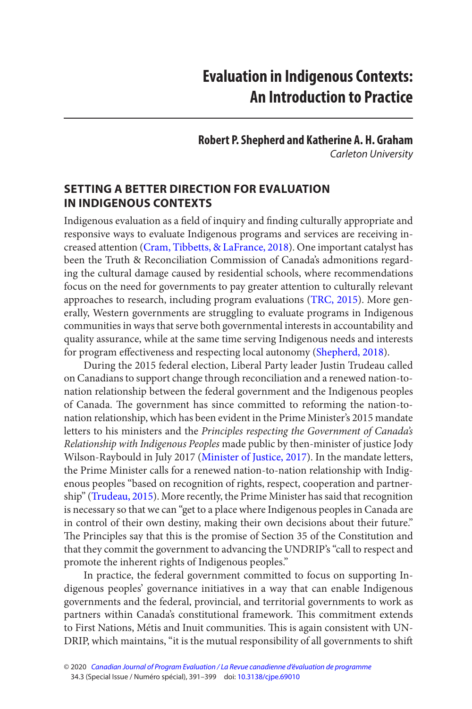# **Evaluation in Indigenous Contexts: An Introduction to Practice**

### **Robert P. Shepherd and Katherine A. H. Graham** Carleton University

## <span id="page-0-0"></span>**SETTING A BETTER DIRECTION FOR EVALUATION IN INDIGENOUS CONTEXTS**

Indigenous evaluation as a field of inquiry and finding culturally appropriate and responsive ways to evaluate Indigenous programs and services are receiving increased attention ([Cram, Tibbetts, & LaFrance, 2018](#page-6-0)). One important catalyst has been the Truth & Reconciliation Commission of Canada's admonitions regarding the cultural damage caused by residential schools, where recommendations focus on the need for governments to pay greater attention to culturally relevant approaches to research, including program evaluations [\(TRC, 2015](#page-7-0)). More generally, Western governments are struggling to evaluate programs in Indigenous communities in ways that serve both governmental interests in accountability and quality assurance, while at the same time serving Indigenous needs and interests for program effectiveness and respecting local autonomy [\(Shepherd, 2018](#page-7-0)).

During the 2015 federal election, Liberal Party leader Justin Trudeau called on Canadians to support change through reconciliation and a renewed nation-tonation relationship between the federal government and the Indigenous peoples of Canada. The government has since committed to reforming the nation-tonation relationship, which has been evident in the Prime Minister's 2015 mandate letters to his ministers and the Principles respecting the Government of Canada's Relationship with Indigenous Peoples made public by then - minister of justice Jody Wilson-Raybould in July 2017 ([Minister of Justice, 2017](#page-7-0)). In the mandate letters, the Prime Minister calls for a renewed nation-to-nation relationship with Indigenous peoples "based on recognition of rights, respect, cooperation and partnership" [\(Trudeau, 2015](#page-7-0)). More recently, the Prime Minister has said that recognition is necessary so that we can "get to a place where Indigenous peoples in Canada are in control of their own destiny, making their own decisions about their future." The Principles say that this is the promise of Section 35 of the Constitution and that they commit the government to advancing the UNDRIP's "call to respect and promote the inherent rights of Indigenous peoples."

In practice, the federal government committed to focus on supporting Indigenous peoples' governance initiatives in a way that can enable Indigenous governments and the federal, provincial, and territorial governments to work as partners within Canada's constitutional framework. This commitment extends to First Nations, Métis and Inuit communities. This is again consistent with UN-DRIP, which maintains, "it is the mutual responsibility of all governments to shift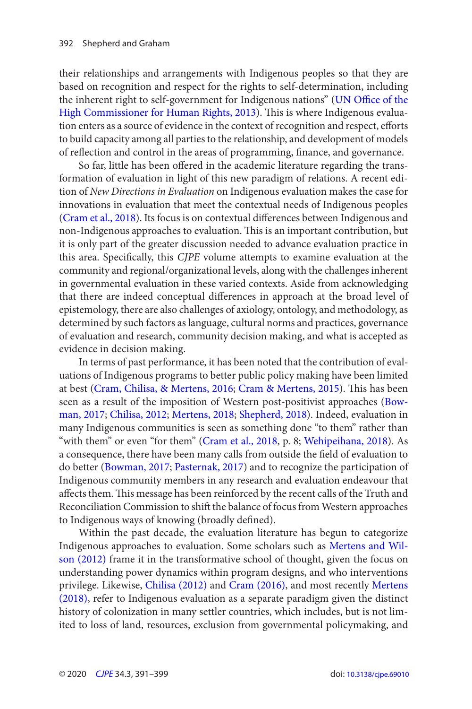<span id="page-1-0"></span>their relationships and arrangements with Indigenous peoples so that they are based on recognition and respect for the rights to self-determination, including the inherent right to self-government for Indigenous nations" (UN Office of the [High Commissioner for Human Rights, 2013](#page-7-0)). This is where Indigenous evaluation enters as a source of evidence in the context of recognition and respect, efforts to build capacity among all parties to the relationship, and development of models of reflection and control in the areas of programming, finance, and governance.

So far, little has been offered in the academic literature regarding the transformation of evaluation in light of this new paradigm of relations. A recent edition of New Directions in Evaluation on Indigenous evaluation makes the case for innovations in evaluation that meet the contextual needs of Indigenous peoples [\(Cram et al., 2018](#page-6-0)). Its focus is on contextual differences between Indigenous and non-Indigenous approaches to evaluation. This is an important contribution, but it is only part of the greater discussion needed to advance evaluation practice in this area. Specifically, this CJPE volume attempts to examine evaluation at the community and regional/organizational levels, along with the challenges inherent in governmental evaluation in these varied contexts. Aside from acknowledging that there are indeed conceptual differences in approach at the broad level of epistemology, there are also challenges of axiology, ontology, and methodology, as determined by such factors as language, cultural norms and practices, governance of evaluation and research, community decision making, and what is accepted as evidence in decision making.

In terms of past performance, it has been noted that the contribution of evaluations of Indigenous programs to better public policy making have been limited at best [\(Cram, Chilisa, & Mertens, 2016](#page-6-0); [Cram & Mertens, 2015\)](#page-6-0). This has been seen as a result of the imposition of Western post-positivist approaches ([Bow](#page-6-0)[man, 2017;](#page-6-0) [Chilisa, 2012](#page-6-0); [Mertens, 2018](#page-7-0); [Shepherd, 2018](#page-7-0)). Indeed, evaluation in many Indigenous communities is seen as something done "to them" rather than "with them" or even "for them" ([Cram et al., 2018](#page-6-0), p. 8; [Wehipeihana, 2018\)](#page-7-0). As a consequence, there have been many calls from outside the field of evaluation to do better ([Bowman, 2017](#page-6-0); [Pasternak, 2017](#page-7-0)) and to recognize the participation of Indigenous community members in any research and evaluation endeavour that affects them. This message has been reinforced by the recent calls of the Truth and Reconciliation Commission to shift the balance of focus from Western approaches to Indigenous ways of knowing (broadly defined).

Within the past decade, the evaluation literature has begun to categorize Indigenous approaches to evaluation. Some scholars such as [Mertens and Wil](#page-7-0)son (2012) frame it in the transformative school of thought, given the focus on understanding power dynamics within program designs, and who interventions privilege. Likewise, Chilisa (2012) and Cram (2016), and most recently Mertens [\(2018 \)](#page-7-0), refer to Indigenous evaluation as a separate paradigm given the distinct history of colonization in many settler countries, which includes, but is not limited to loss of land, resources, exclusion from governmental policymaking, and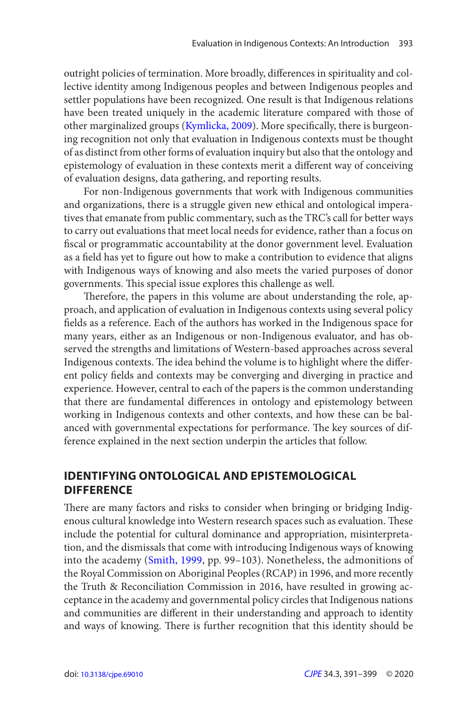<span id="page-2-0"></span>outright policies of termination. More broadly, differences in spirituality and collective identity among Indigenous peoples and between Indigenous peoples and settler populations have been recognized. One result is that Indigenous relations have been treated uniquely in the academic literature compared with those of other marginalized groups ([Kymlicka, 2009](#page-7-0)). More specifically, there is burgeoning recognition not only that evaluation in Indigenous contexts must be thought of as distinct from other forms of evaluation inquiry but also that the ontology and epistemology of evaluation in these contexts merit a different way of conceiving of evaluation designs, data gathering, and reporting results.

For non-Indigenous governments that work with Indigenous communities and organizations, there is a struggle given new ethical and ontological imperatives that emanate from public commentary, such as the TRC's call for better ways to carry out evaluations that meet local needs for evidence, rather than a focus on fiscal or programmatic accountability at the donor government level. Evaluation as a field has yet to figure out how to make a contribution to evidence that aligns with Indigenous ways of knowing and also meets the varied purposes of donor governments. This special issue explores this challenge as well.

 Therefore, the papers in this volume are about understanding the role, approach, and application of evaluation in Indigenous contexts using several policy fields as a reference. Each of the authors has worked in the Indigenous space for many years, either as an Indigenous or non-Indigenous evaluator, and has observed the strengths and limitations of Western-based approaches across several Indigenous contexts. The idea behind the volume is to highlight where the different policy fields and contexts may be converging and diverging in practice and experience. However, central to each of the papers is the common understanding that there are fundamental differences in ontology and epistemology between working in Indigenous contexts and other contexts, and how these can be balanced with governmental expectations for performance. The key sources of difference explained in the next section underpin the articles that follow.

### **IDENTIFYING ONTOLOGICAL AND EPISTEMOLOGICAL DIFFERENCE**

 There are many factors and risks to consider when bringing or bridging Indigenous cultural knowledge into Western research spaces such as evaluation. These include the potential for cultural dominance and appropriation, misinterpretation, and the dismissals that come with introducing Indigenous ways of knowing into the academy ([Smith, 1999,](#page-7-0) pp. 99–103). Nonetheless, the admonitions of the Royal Commission on Aboriginal Peoples (RCAP) in 1996, and more recently the Truth & Reconciliation Commission in 2016, have resulted in growing acceptance in the academy and governmental policy circles that Indigenous nations and communities are different in their understanding and approach to identity and ways of knowing. There is further recognition that this identity should be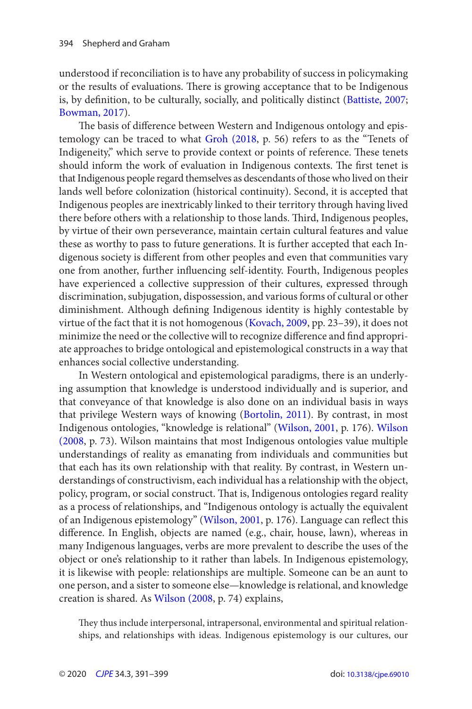<span id="page-3-0"></span>understood if reconciliation is to have any probability of success in policymaking or the results of evaluations. There is growing acceptance that to be Indigenous is, by definition, to be culturally, socially, and politically distinct ([Battiste, 2007](#page-6-0);  [Bowman, 2017](#page-6-0)).

 The basis of difference between Western and Indigenous ontology and epistemology can be traced to what [Groh \(2018](#page-6-0), p. 56) refers to as the "Tenets of Indigeneity," which serve to provide context or points of reference. These tenets should inform the work of evaluation in Indigenous contexts. The first tenet is that Indigenous people regard themselves as descendants of those who lived on their lands well before colonization (historical continuity). Second, it is accepted that Indigenous peoples are inextricably linked to their territory through having lived there before others with a relationship to those lands. Third, Indigenous peoples, by virtue of their own perseverance, maintain certain cultural features and value these as worthy to pass to future generations. It is further accepted that each Indigenous society is different from other peoples and even that communities vary one from another, further influencing self-identity. Fourth, Indigenous peoples have experienced a collective suppression of their cultures, expressed through discrimination, subjugation, dispossession, and various forms of cultural or other diminishment. Although defining Indigenous identity is highly contestable by virtue of the fact that it is not homogenous ([Kovach, 2009](#page-7-0), pp. 23–39), it does not minimize the need or the collective will to recognize difference and find appropriate approaches to bridge ontological and epistemological constructs in a way that enhances social collective understanding.

In Western ontological and epistemological paradigms, there is an underlying assumption that knowledge is understood individually and is superior, and that conveyance of that knowledge is also done on an individual basis in ways that privilege Western ways of knowing ([Bortolin, 2011](#page-6-0)). By contrast, in most Indigenous ontologies, "knowledge is relational" [\(Wilson, 2001](#page-7-0), p. 176). [Wilson](#page-7-0)  [\(2008](#page-7-0), p. 73). Wilson maintains that most Indigenous ontologies value multiple understandings of reality as emanating from individuals and communities but that each has its own relationship with that reality. By contrast, in Western understandings of constructivism, each individual has a relationship with the object, policy, program, or social construct. That is, Indigenous ontologies regard reality as a process of relationships, and "Indigenous ontology is actually the equivalent of an Indigenous epistemology" ([Wilson, 2001](#page-7-0), p. 176). Language can reflect this difference. In English, objects are named (e.g., chair, house, lawn), whereas in many Indigenous languages, verbs are more prevalent to describe the uses of the object or one's relationship to it rather than labels. In Indigenous epistemology, it is likewise with people: relationships are multiple. Someone can be an aunt to one person, and a sister to someone else—knowledge is relational, and knowledge creation is shared. As [Wilson \(2008,](#page-7-0) p. 74) explains,

 They thus include interpersonal, intrapersonal, environmental and spiritual relationships, and relationships with ideas. Indigenous epistemology is our cultures, our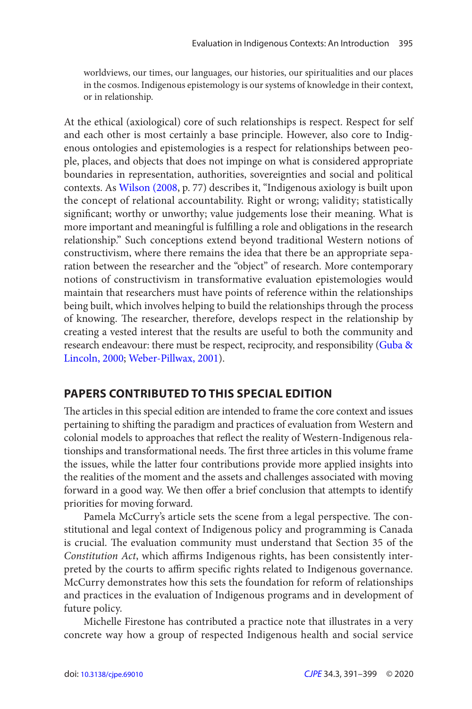<span id="page-4-0"></span>worldviews, our times, our languages, our histories, our spiritualities and our places in the cosmos. Indigenous epistemology is our systems of knowledge in their context, or in relationship.

At the ethical (axiological) core of such relationships is respect. Respect for self and each other is most certainly a base principle. However, also core to Indigenous ontologies and epistemologies is a respect for relationships between people, places, and objects that does not impinge on what is considered appropriate boundaries in representation, authorities, sovereignties and social and political contexts. As [Wilson \(2008](#page-7-0), p. 77) describes it, "Indigenous axiology is built upon the concept of relational accountability. Right or wrong; validity; statistically significant; worthy or unworthy; value judgements lose their meaning. What is more important and meaningful is fulfilling a role and obligations in the research relationship." Such conceptions extend beyond traditional Western notions of constructivism, where there remains the idea that there be an appropriate separation between the researcher and the "object" of research. More contemporary notions of constructivism in transformative evaluation epistemologies would maintain that researchers must have points of reference within the relationships being built, which involves helping to build the relationships through the process of knowing. The researcher, therefore, develops respect in the relationship by creating a vested interest that the results are useful to both the community and research endeavour: there must be respect, reciprocity, and responsibility ([Guba &](#page-6-0) [Lincoln, 2000](#page-6-0); [Weber-Pillwax, 2001](#page-7-0)).

## **PAPERS CONTRIBUTED TO THIS SPECIAL EDITION**

 The articles in this special edition are intended to frame the core context and issues pertaining to shifting the paradigm and practices of evaluation from Western and colonial models to approaches that reflect the reality of Western - Indigenous relationships and transformational needs. The first three articles in this volume frame the issues, while the latter four contributions provide more applied insights into the realities of the moment and the assets and challenges associated with moving forward in a good way. We then offer a brief conclusion that attempts to identify priorities for moving forward.

Pamela McCurry's article sets the scene from a legal perspective. The constitutional and legal context of Indigenous policy and programming is Canada is crucial. The evaluation community must understand that Section 35 of the Constitution Act, which affirms Indigenous rights, has been consistently interpreted by the courts to affirm specific rights related to Indigenous governance. McCurry demonstrates how this sets the foundation for reform of relationships and practices in the evaluation of Indigenous programs and in development of future policy.

Michelle Firestone has contributed a practice note that illustrates in a very concrete way how a group of respected Indigenous health and social service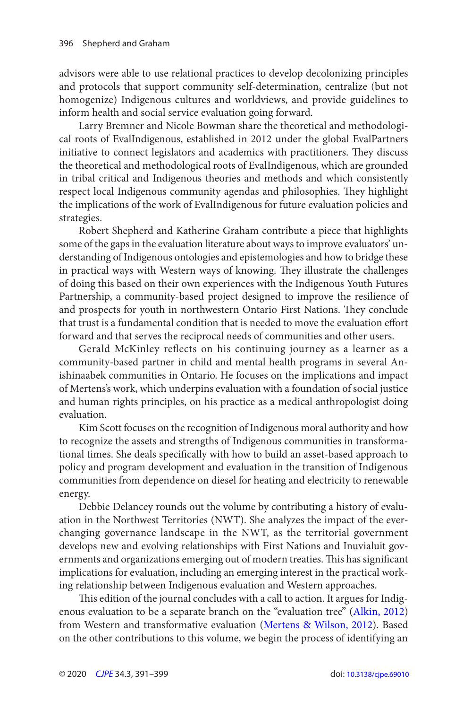<span id="page-5-0"></span>advisors were able to use relational practices to develop decolonizing principles and protocols that support community self-determination, centralize (but not homogenize) Indigenous cultures and worldviews, and provide guidelines to inform health and social service evaluation going forward.

Larry Bremner and Nicole Bowman share the theoretical and methodological roots of EvalIndigenous, established in 2012 under the global EvalPartners initiative to connect legislators and academics with practitioners. They discuss the theoretical and methodological roots of EvalIndigenous, which are grounded in tribal critical and Indigenous theories and methods and which consistently respect local Indigenous community agendas and philosophies. They highlight the implications of the work of EvalIndigenous for future evaluation policies and strategies.

Robert Shepherd and Katherine Graham contribute a piece that highlights some of the gaps in the evaluation literature about ways to improve evaluators' understanding of Indigenous ontologies and epistemologies and how to bridge these in practical ways with Western ways of knowing. They illustrate the challenges of doing this based on their own experiences with the Indigenous Youth Futures Partnership, a community-based project designed to improve the resilience of and prospects for youth in northwestern Ontario First Nations. They conclude that trust is a fundamental condition that is needed to move the evaluation effort forward and that serves the reciprocal needs of communities and other users.

Gerald McKinley reflects on his continuing journey as a learner as a community-based partner in child and mental health programs in several Anishinaabek communities in Ontario. He focuses on the implications and impact of Mertens's work, which underpins evaluation with a foundation of social justice and human rights principles, on his practice as a medical anthropologist doing evaluation.

Kim Scott focuses on the recognition of Indigenous moral authority and how to recognize the assets and strengths of Indigenous communities in transformational times. She deals specifically with how to build an asset-based approach to policy and program development and evaluation in the transition of Indigenous communities from dependence on diesel for heating and electricity to renewable energy.

Debbie Delancey rounds out the volume by contributing a history of evaluation in the Northwest Territories (NWT). She analyzes the impact of the everchanging governance landscape in the NWT, as the territorial government develops new and evolving relationships with First Nations and Inuvialuit governments and organizations emerging out of modern treaties. This has significant implications for evaluation, including an emerging interest in the practical working relationship between Indigenous evaluation and Western approaches.

 This edition of the journal concludes with a call to action. It argues for Indigenous evaluation to be a separate branch on the "evaluation tree" ([Alkin, 2012](#page-6-0)) from Western and transformative evaluation ([Mertens & Wilson, 2012](#page-7-0)). Based on the other contributions to this volume, we begin the process of identifying an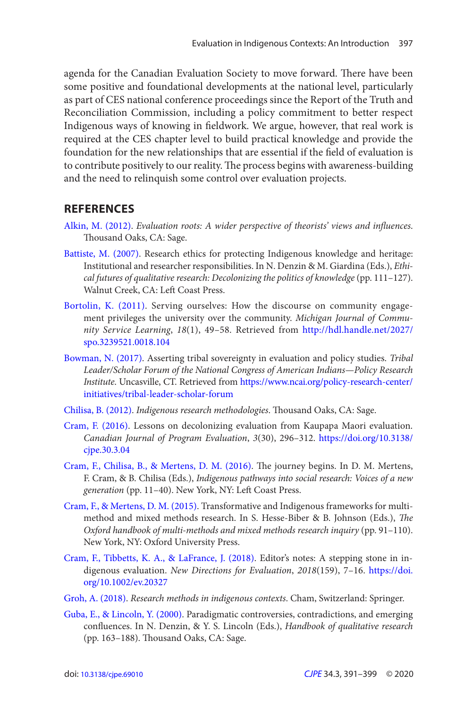<span id="page-6-0"></span>agenda for the Canadian Evaluation Society to move forward. There have been some positive and foundational developments at the national level, particularly as part of CES national conference proceedings since the Report of the Truth and Reconciliation Commission, including a policy commitment to better respect Indigenous ways of knowing in fieldwork. We argue, however, that real work is required at the CES chapter level to build practical knowledge and provide the foundation for the new relationships that are essential if the field of evaluation is to contribute positively to our reality. The process begins with awareness-building and the need to relinquish some control over evaluation projects.

#### **REFERENCES**

- Alkin, M. (2012). Evaluation roots: A wider perspective of theorists' views and influences. Thousand Oaks, CA: Sage.
- Battiste, M. (2007). Research ethics for protecting Indigenous knowledge and heritage: Institutional and researcher responsibilities . In N. Denzin & M. Giardina (Eds.), Ethical futures of qualitative research: Decolonizing the politics of knowledge (pp. 111-127). Walnut Creek, CA: Left Coast Press.
- Bortolin, K. (2011). Serving ourselves: How the discourse on community engagement privileges the university over the community. Michigan Journal of Community Service Learning, 18(1), 49-58. Retrieved from http://hdl.handle.net/2027/ [spo.3239521.0018.104](http://hdl.handle.net/2027/spo.3239521.0018.104)
- Bowman, N. (2017). Asserting tribal sovereignty in evaluation and policy studies. Tribal Leader/Scholar Forum of the National Congress of American Indians—Policy Research Institute. Uncasville, CT . Retrieved from [https://www.ncai.org/policy-research-center/](https://www.ncai.org/policy-research-center/initiatives/tribal-leader-scholar-forum)  [initiatives/tribal-leader-scholar-forum](https://www.ncai.org/policy-research-center/initiatives/tribal-leader-scholar-forum)
- Chilisa, B. (2012). Indigenous research methodologies. Thousand Oaks, CA: Sage.
- [Cram , F. \( 2016 \)](#page-1-0). Lessons on decolonizing evaluation from Kaupapa Maori evaluation. Canadian Journal of Program Evaluation, 3(30), 296-312. https://doi.org/10.3138/ [cjpe.30.3.04](https://doi.org/10.3138/cjpe.30.3.04)
- Cram, F., Chilisa, B., & Mertens, D. M. (2016). The journey begins. In D. M. Mertens, F. Cram, & B. Chilisa (Eds.), Indigenous pathways into social research: Voices of a new generation (pp. 11-40). New York, NY: Left Coast Press.
- Cram, F., & Mertens, D. M. (2015). Transformative and Indigenous frameworks for multimethod and mixed methods research. In S. Hesse-Biber & B. Johnson (Eds.), The Oxford handbook of multi-methods and mixed methods research inquiry (pp. 91-110). New York, NY: Oxford University Press .
- Cram, F., Tibbetts, K. A., & LaFrance, J. (2018). Editor's notes: A stepping stone in indigenous evaluation. New Directions for Evaluation, 2018(159), 7-16. https://doi. [org/10.1002/ev.20327](https://doi.org/10.1002/ev.20327)
- Groh, A. (2018). Research methods in indigenous contexts. Cham, Switzerland: Springer.
- Guba, E., & Lincoln, Y. (2000). Paradigmatic controversies, contradictions, and emerging confluences . In N. Denzin , & Y. S. Lincoln (Eds.), Handbook of qualitative research (pp. 163-188). Thousand Oaks, CA: Sage.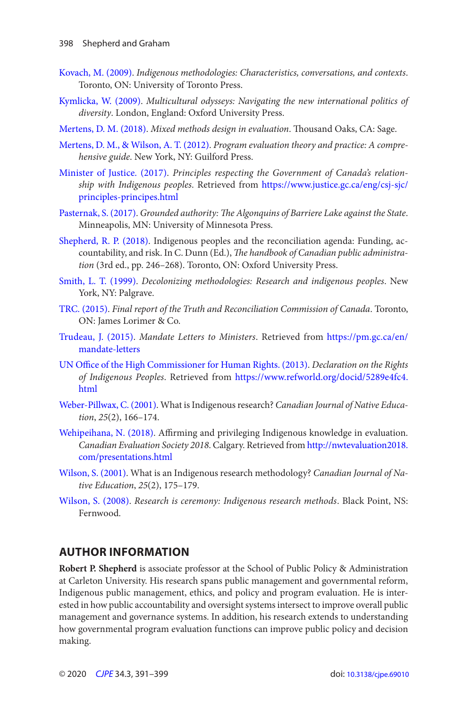- <span id="page-7-0"></span>Kovach, M. (2009). Indigenous methodologies: Characteristics, conversations, and contexts. Toronto, ON: University of Toronto Press.
- Kymlicka, W. (2009). Multicultural odysseys: Navigating the new international politics of diversity. London, England: Oxford University Press.
- Mertens, D. M. (2018). Mixed methods design in evaluation. Thousand Oaks, CA: Sage.
- Mertens, D. M., & Wilson, A. T. (2012). Program evaluation theory and practice: A comprehensive guide. New York, NY: Guilford Press.
- [Minister of Justice . \( 2017 \)](#page-0-0). Principles respecting the Government of Canada's relationship with Indigenous peoples. Retrieved from https://www.justice.gc.ca/eng/csj-sjc/ [principles-principes.html](https://www.justice.gc.ca/eng/csj-sjc/principles-principes.html)
- Pasternak, S. (2017). Grounded authority: The Algonquins of Barriere Lake against the State. Minneapolis, MN: University of Minnesota Press.
- Shepherd, R. P. (2018). Indigenous peoples and the reconciliation agenda: Funding, accountability, and risk . In C. Dunn (Ed.), The handbook of Canadian public administration (3rd ed., pp. 246-268). Toronto, ON: Oxford University Press.
- Smith, L. T. (1999). Decolonizing methodologies: Research and indigenous peoples. New York, NY: Palgrave.
- TRC. (2015). Final report of the Truth and Reconciliation Commission of Canada. Toronto, ON: James Lorimer & Co.
- Trudeau, J. (2015). Mandate Letters to Ministers. Retrieved from https://pm.gc.ca/en/ [mandate-letters](https://pm.gc.ca/en/mandate-letters)
- [UN Office of the High Commissioner for Human Rights . \( 2013 \)](#page-1-0). Declaration on the Rights of Indigenous Peoples. Retrieved from [https://www.refworld.org/docid/5289e4fc4.](https://www.refworld.org/docid/5289e4fc4.html)  [html](https://www.refworld.org/docid/5289e4fc4.html)
- Weber-Pillwax, C. (2001). What is Indigenous research? Canadian Journal of Native Educa $tion, 25(2), 166-174.$
- Wehipeihana, N. (2018). Affirming and privileging Indigenous knowledge in evaluation. Canadian Evaluation Society 2018. Calgary . Retrieved from [http://nwtevaluation2018.](http://nwtevaluation2018.com/presentations.html)  [com/presentations.html](http://nwtevaluation2018.com/presentations.html)
- Wilson, S. (2001). What is an Indigenous research methodology? Canadian Journal of Native Education, 25(2), 175-179.
- Wilson, S. (2008). Research is ceremony: Indigenous research methods. Black Point, NS: Fernwood.

#### **AUTHOR INFORMATION**

**Robert P. Shepherd** is associate professor at the School of Public Policy & Administration at Carleton University. His research spans public management and governmental reform, Indigenous public management, ethics, and policy and program evaluation. He is interested in how public accountability and oversight systems intersect to improve overall public management and governance systems. In addition, his research extends to understanding how governmental program evaluation functions can improve public policy and decision making.